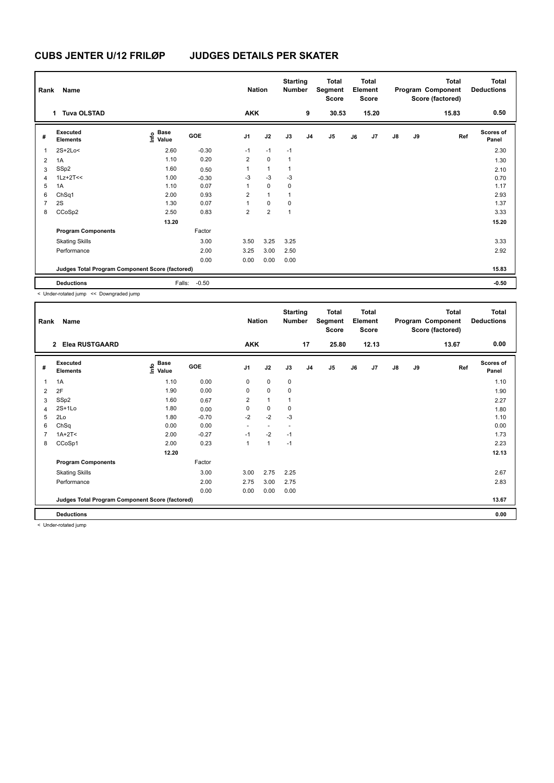| Rank           | Name<br>1 Tuva OLSTAD                           |                                  |            | <b>Nation</b><br><b>AKK</b> |                         | <b>Starting</b><br>Number | 9              | <b>Total</b><br>Segment<br><b>Score</b><br>30.53 |    | Total<br>Element<br>Score<br>15.20 |               |    | <b>Total</b><br>Program Component<br>Score (factored)<br>15.83 | <b>Total</b><br><b>Deductions</b><br>0.50 |
|----------------|-------------------------------------------------|----------------------------------|------------|-----------------------------|-------------------------|---------------------------|----------------|--------------------------------------------------|----|------------------------------------|---------------|----|----------------------------------------------------------------|-------------------------------------------|
|                |                                                 |                                  |            |                             |                         |                           |                |                                                  |    |                                    |               |    |                                                                |                                           |
| #              | Executed<br><b>Elements</b>                     | <b>Base</b><br>o Base<br>⊆ Value | <b>GOE</b> | J <sub>1</sub>              | J2                      | J3                        | J <sub>4</sub> | J5                                               | J6 | J7                                 | $\mathsf{J}8$ | J9 | Ref                                                            | <b>Scores of</b><br>Panel                 |
| 1              | $2S+2Lo<$                                       | 2.60                             | $-0.30$    | $-1$                        | $-1$                    | $-1$                      |                |                                                  |    |                                    |               |    |                                                                | 2.30                                      |
| $\overline{2}$ | 1A                                              | 1.10                             | 0.20       | 2                           | $\mathbf 0$             | $\mathbf{1}$              |                |                                                  |    |                                    |               |    |                                                                | 1.30                                      |
| 3              | SSp2                                            | 1.60                             | 0.50       | 1                           | $\mathbf{1}$            | $\mathbf{1}$              |                |                                                  |    |                                    |               |    |                                                                | 2.10                                      |
| $\overline{4}$ | $1Lz+2T<<$                                      | 1.00                             | $-0.30$    | $-3$                        | $-3$                    | $-3$                      |                |                                                  |    |                                    |               |    |                                                                | 0.70                                      |
| 5              | 1A                                              | 1.10                             | 0.07       | 1                           | $\mathbf 0$             | $\mathbf 0$               |                |                                                  |    |                                    |               |    |                                                                | 1.17                                      |
| 6              | ChSq1                                           | 2.00                             | 0.93       | $\overline{2}$              | $\mathbf{1}$            | $\mathbf{1}$              |                |                                                  |    |                                    |               |    |                                                                | 2.93                                      |
| $\overline{7}$ | 2S                                              | 1.30                             | 0.07       | 1                           | 0                       | $\mathbf 0$               |                |                                                  |    |                                    |               |    |                                                                | 1.37                                      |
| 8              | CCoSp2                                          | 2.50                             | 0.83       | $\overline{2}$              | $\overline{\mathbf{c}}$ | $\mathbf{1}$              |                |                                                  |    |                                    |               |    |                                                                | 3.33                                      |
|                |                                                 | 13.20                            |            |                             |                         |                           |                |                                                  |    |                                    |               |    |                                                                | 15.20                                     |
|                | <b>Program Components</b>                       |                                  | Factor     |                             |                         |                           |                |                                                  |    |                                    |               |    |                                                                |                                           |
|                | <b>Skating Skills</b>                           |                                  | 3.00       | 3.50                        | 3.25                    | 3.25                      |                |                                                  |    |                                    |               |    |                                                                | 3.33                                      |
|                | Performance                                     |                                  | 2.00       | 3.25                        | 3.00                    | 2.50                      |                |                                                  |    |                                    |               |    |                                                                | 2.92                                      |
|                |                                                 |                                  | 0.00       | 0.00                        | 0.00                    | 0.00                      |                |                                                  |    |                                    |               |    |                                                                |                                           |
|                | Judges Total Program Component Score (factored) |                                  |            |                             |                         |                           |                |                                                  |    |                                    |               |    |                                                                | 15.83                                     |
|                | <b>Deductions</b>                               | Falls:                           | $-0.50$    |                             |                         |                           |                |                                                  |    |                                    |               |    |                                                                | $-0.50$                                   |

< Under-rotated jump << Downgraded jump

| Rank | Name                                            |                   |         | <b>Nation</b>            |                          | <b>Starting</b><br><b>Number</b> |                | <b>Total</b><br>Segment<br><b>Score</b> |    | <b>Total</b><br>Element<br><b>Score</b> |               |    | <b>Total</b><br>Program Component<br>Score (factored) | Total<br><b>Deductions</b> |
|------|-------------------------------------------------|-------------------|---------|--------------------------|--------------------------|----------------------------------|----------------|-----------------------------------------|----|-----------------------------------------|---------------|----|-------------------------------------------------------|----------------------------|
|      | <b>Elea RUSTGAARD</b><br>$\overline{2}$         |                   |         | <b>AKK</b>               |                          |                                  | 17             | 25.80                                   |    | 12.13                                   |               |    | 13.67                                                 | 0.00                       |
| #    | Executed<br><b>Elements</b>                     | e Base<br>E Value | GOE     | J <sub>1</sub>           | J2                       | J3                               | J <sub>4</sub> | $\mathsf{J}5$                           | J6 | J7                                      | $\mathsf{J}8$ | J9 | Ref                                                   | <b>Scores of</b><br>Panel  |
| 1    | 1A                                              | 1.10              | 0.00    | 0                        | $\mathbf 0$              | 0                                |                |                                         |    |                                         |               |    |                                                       | 1.10                       |
| 2    | 2F                                              | 1.90              | 0.00    | 0                        | 0                        | 0                                |                |                                         |    |                                         |               |    |                                                       | 1.90                       |
| 3    | SSp2                                            | 1.60              | 0.67    | $\overline{2}$           | $\mathbf{1}$             | 1                                |                |                                         |    |                                         |               |    |                                                       | 2.27                       |
| 4    | $2S+1L0$                                        | 1.80              | 0.00    | 0                        | 0                        | 0                                |                |                                         |    |                                         |               |    |                                                       | 1.80                       |
| 5    | 2Lo                                             | 1.80              | $-0.70$ | $-2$                     | $-2$                     | -3                               |                |                                         |    |                                         |               |    |                                                       | 1.10                       |
| 6    | ChSq                                            | 0.00              | 0.00    | $\overline{\phantom{a}}$ | $\overline{\phantom{a}}$ |                                  |                |                                         |    |                                         |               |    |                                                       | 0.00                       |
| 7    | $1A+2T2$                                        | 2.00              | $-0.27$ | $-1$                     | $-2$                     | $-1$                             |                |                                         |    |                                         |               |    |                                                       | 1.73                       |
| 8    | CCoSp1                                          | 2.00              | 0.23    | $\mathbf{1}$             | $\mathbf{1}$             | $-1$                             |                |                                         |    |                                         |               |    |                                                       | 2.23                       |
|      |                                                 | 12.20             |         |                          |                          |                                  |                |                                         |    |                                         |               |    |                                                       | 12.13                      |
|      | <b>Program Components</b>                       |                   | Factor  |                          |                          |                                  |                |                                         |    |                                         |               |    |                                                       |                            |
|      | <b>Skating Skills</b>                           |                   | 3.00    | 3.00                     | 2.75                     | 2.25                             |                |                                         |    |                                         |               |    |                                                       | 2.67                       |
|      | Performance                                     |                   | 2.00    | 2.75                     | 3.00                     | 2.75                             |                |                                         |    |                                         |               |    |                                                       | 2.83                       |
|      |                                                 |                   | 0.00    | 0.00                     | 0.00                     | 0.00                             |                |                                         |    |                                         |               |    |                                                       |                            |
|      | Judges Total Program Component Score (factored) |                   |         |                          |                          |                                  |                |                                         |    |                                         |               |    |                                                       | 13.67                      |
|      | <b>Deductions</b>                               |                   |         |                          |                          |                                  |                |                                         |    |                                         |               |    |                                                       | 0.00                       |

< Under-rotated jump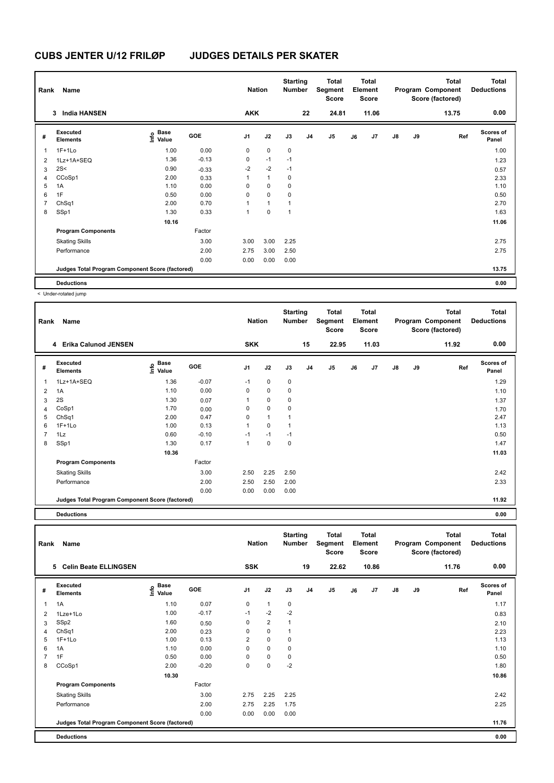| Rank         | Name                                            |                                  |         | <b>Nation</b>  |              | <b>Starting</b><br><b>Number</b> |                | Total<br>Segment<br>Score |    | Total<br>Element<br><b>Score</b> |               |    | <b>Total</b><br>Program Component<br>Score (factored) | <b>Total</b><br><b>Deductions</b> |
|--------------|-------------------------------------------------|----------------------------------|---------|----------------|--------------|----------------------------------|----------------|---------------------------|----|----------------------------------|---------------|----|-------------------------------------------------------|-----------------------------------|
|              | <b>India HANSEN</b><br>3                        |                                  |         | <b>AKK</b>     |              |                                  | 22             | 24.81                     |    | 11.06                            |               |    | 13.75                                                 | 0.00                              |
| #            | Executed<br><b>Elements</b>                     | <b>Base</b><br>o Base<br>⊆ Value | GOE     | J <sub>1</sub> | J2           | J3                               | J <sub>4</sub> | J <sub>5</sub>            | J6 | J7                               | $\mathsf{J}8$ | J9 | Ref                                                   | <b>Scores of</b><br>Panel         |
| $\mathbf{1}$ | $1F+1Lo$                                        | 1.00                             | 0.00    | 0              | $\mathbf 0$  | $\mathbf 0$                      |                |                           |    |                                  |               |    |                                                       | 1.00                              |
| 2            | 1Lz+1A+SEQ                                      | 1.36                             | $-0.13$ | 0              | $-1$         | $-1$                             |                |                           |    |                                  |               |    |                                                       | 1.23                              |
| 3            | 2S<                                             | 0.90                             | $-0.33$ | $-2$           | $-2$         | $-1$                             |                |                           |    |                                  |               |    |                                                       | 0.57                              |
| 4            | CCoSp1                                          | 2.00                             | 0.33    | 1              | $\mathbf{1}$ | 0                                |                |                           |    |                                  |               |    |                                                       | 2.33                              |
| 5            | 1A                                              | 1.10                             | 0.00    | 0              | $\mathbf 0$  | 0                                |                |                           |    |                                  |               |    |                                                       | 1.10                              |
| 6            | 1F                                              | 0.50                             | 0.00    | 0              | $\mathbf 0$  | 0                                |                |                           |    |                                  |               |    |                                                       | 0.50                              |
| 7            | ChSq1                                           | 2.00                             | 0.70    | 1              | $\mathbf{1}$ | 1                                |                |                           |    |                                  |               |    |                                                       | 2.70                              |
| 8            | SSp1                                            | 1.30                             | 0.33    | 1              | $\mathbf 0$  | 1                                |                |                           |    |                                  |               |    |                                                       | 1.63                              |
|              |                                                 | 10.16                            |         |                |              |                                  |                |                           |    |                                  |               |    |                                                       | 11.06                             |
|              | <b>Program Components</b>                       |                                  | Factor  |                |              |                                  |                |                           |    |                                  |               |    |                                                       |                                   |
|              | <b>Skating Skills</b>                           |                                  | 3.00    | 3.00           | 3.00         | 2.25                             |                |                           |    |                                  |               |    |                                                       | 2.75                              |
|              | Performance                                     |                                  | 2.00    | 2.75           | 3.00         | 2.50                             |                |                           |    |                                  |               |    |                                                       | 2.75                              |
|              |                                                 |                                  | 0.00    | 0.00           | 0.00         | 0.00                             |                |                           |    |                                  |               |    |                                                       |                                   |
|              | Judges Total Program Component Score (factored) |                                  |         |                |              |                                  |                |                           |    |                                  |               |    |                                                       | 13.75                             |
|              | <b>Deductions</b>                               |                                  |         |                |              |                                  |                |                           |    |                                  |               |    |                                                       | 0.00                              |

< Under-rotated jump

| Rank           | Name                                            |                                                          |            | <b>Nation</b>  |             | <b>Starting</b><br><b>Number</b> |                | <b>Total</b><br>Segment<br><b>Score</b> |    | <b>Total</b><br>Element<br>Score |               |    | <b>Total</b><br>Program Component<br>Score (factored) | <b>Total</b><br><b>Deductions</b> |
|----------------|-------------------------------------------------|----------------------------------------------------------|------------|----------------|-------------|----------------------------------|----------------|-----------------------------------------|----|----------------------------------|---------------|----|-------------------------------------------------------|-----------------------------------|
|                | <b>Erika Calunod JENSEN</b><br>4                |                                                          |            | <b>SKK</b>     |             |                                  | 15             | 22.95                                   |    | 11.03                            |               |    | 11.92                                                 | 0.00                              |
| #              | Executed<br><b>Elements</b>                     | <b>Base</b><br>$\mathop{\mathsf{Irr}}\nolimits$<br>Value | <b>GOE</b> | J <sub>1</sub> | J2          | J3                               | J <sub>4</sub> | J5                                      | J6 | J7                               | $\mathsf{J}8$ | J9 | Ref                                                   | <b>Scores of</b><br>Panel         |
| 1              | 1Lz+1A+SEQ                                      | 1.36                                                     | $-0.07$    | $-1$           | 0           | $\mathbf 0$                      |                |                                         |    |                                  |               |    |                                                       | 1.29                              |
| $\overline{2}$ | 1A                                              | 1.10                                                     | 0.00       | 0              | $\mathbf 0$ | 0                                |                |                                         |    |                                  |               |    |                                                       | 1.10                              |
| 3              | 2S                                              | 1.30                                                     | 0.07       |                | 0           | $\mathbf 0$                      |                |                                         |    |                                  |               |    |                                                       | 1.37                              |
| 4              | CoSp1                                           | 1.70                                                     | 0.00       | 0              | 0           | 0                                |                |                                         |    |                                  |               |    |                                                       | 1.70                              |
| 5              | ChSq1                                           | 2.00                                                     | 0.47       | 0              | 1           |                                  |                |                                         |    |                                  |               |    |                                                       | 2.47                              |
| 6              | $1F+1Lo$                                        | 1.00                                                     | 0.13       | 1              | 0           | 1                                |                |                                         |    |                                  |               |    |                                                       | 1.13                              |
| $\overline{7}$ | 1Lz                                             | 0.60                                                     | $-0.10$    | $-1$           | $-1$        | $-1$                             |                |                                         |    |                                  |               |    |                                                       | 0.50                              |
| 8              | SSp1                                            | 1.30                                                     | 0.17       | $\overline{1}$ | $\Omega$    | $\Omega$                         |                |                                         |    |                                  |               |    |                                                       | 1.47                              |
|                |                                                 | 10.36                                                    |            |                |             |                                  |                |                                         |    |                                  |               |    |                                                       | 11.03                             |
|                | <b>Program Components</b>                       |                                                          | Factor     |                |             |                                  |                |                                         |    |                                  |               |    |                                                       |                                   |
|                | <b>Skating Skills</b>                           |                                                          | 3.00       | 2.50           | 2.25        | 2.50                             |                |                                         |    |                                  |               |    |                                                       | 2.42                              |
|                | Performance                                     |                                                          | 2.00       | 2.50           | 2.50        | 2.00                             |                |                                         |    |                                  |               |    |                                                       | 2.33                              |
|                |                                                 |                                                          | 0.00       | 0.00           | 0.00        | 0.00                             |                |                                         |    |                                  |               |    |                                                       |                                   |
|                | Judges Total Program Component Score (factored) |                                                          |            |                |             |                                  |                |                                         |    |                                  |               |    |                                                       | 11.92                             |

**Deductions 0.00**

| Rank           | Name                                            |                           |         | <b>Nation</b>  |                | <b>Starting</b><br><b>Number</b> |                | <b>Total</b><br>Segment<br><b>Score</b> |    | <b>Total</b><br>Element<br><b>Score</b> |               |    | <b>Total</b><br>Program Component<br>Score (factored) | <b>Total</b><br><b>Deductions</b> |
|----------------|-------------------------------------------------|---------------------------|---------|----------------|----------------|----------------------------------|----------------|-----------------------------------------|----|-----------------------------------------|---------------|----|-------------------------------------------------------|-----------------------------------|
|                | <b>Celin Beate ELLINGSEN</b><br>5               |                           |         | <b>SSK</b>     |                |                                  | 19             | 22.62                                   |    | 10.86                                   |               |    | 11.76                                                 | 0.00                              |
| #              | Executed<br><b>Elements</b>                     | Base<br>e Base<br>⊆ Value | GOE     | J <sub>1</sub> | J2             | J3                               | J <sub>4</sub> | J5                                      | J6 | J7                                      | $\mathsf{J}8$ | J9 | Ref                                                   | <b>Scores of</b><br>Panel         |
| 1              | 1A                                              | 1.10                      | 0.07    | 0              | $\mathbf{1}$   | $\mathbf 0$                      |                |                                         |    |                                         |               |    |                                                       | 1.17                              |
| $\overline{2}$ | 1Lze+1Lo                                        | 1.00                      | $-0.17$ | $-1$           | $-2$           | $-2$                             |                |                                         |    |                                         |               |    |                                                       | 0.83                              |
| 3              | SSp2                                            | 1.60                      | 0.50    | 0              | $\overline{2}$ | $\mathbf{1}$                     |                |                                         |    |                                         |               |    |                                                       | 2.10                              |
| 4              | ChSq1                                           | 2.00                      | 0.23    | 0              | $\mathbf 0$    | $\mathbf{1}$                     |                |                                         |    |                                         |               |    |                                                       | 2.23                              |
| 5              | $1F+1Lo$                                        | 1.00                      | 0.13    | 2              | $\pmb{0}$      | 0                                |                |                                         |    |                                         |               |    |                                                       | 1.13                              |
| 6              | 1A                                              | 1.10                      | 0.00    | 0              | $\mathbf 0$    | $\mathbf 0$                      |                |                                         |    |                                         |               |    |                                                       | 1.10                              |
| $\overline{7}$ | 1F                                              | 0.50                      | 0.00    | $\Omega$       | $\pmb{0}$      | 0                                |                |                                         |    |                                         |               |    |                                                       | 0.50                              |
| 8              | CCoSp1                                          | 2.00                      | $-0.20$ | 0              | $\mathbf 0$    | $-2$                             |                |                                         |    |                                         |               |    |                                                       | 1.80                              |
|                |                                                 | 10.30                     |         |                |                |                                  |                |                                         |    |                                         |               |    |                                                       | 10.86                             |
|                | <b>Program Components</b>                       |                           | Factor  |                |                |                                  |                |                                         |    |                                         |               |    |                                                       |                                   |
|                | <b>Skating Skills</b>                           |                           | 3.00    | 2.75           | 2.25           | 2.25                             |                |                                         |    |                                         |               |    |                                                       | 2.42                              |
|                | Performance                                     |                           | 2.00    | 2.75           | 2.25           | 1.75                             |                |                                         |    |                                         |               |    |                                                       | 2.25                              |
|                |                                                 |                           | 0.00    | 0.00           | 0.00           | 0.00                             |                |                                         |    |                                         |               |    |                                                       |                                   |
|                | Judges Total Program Component Score (factored) |                           |         |                |                |                                  |                |                                         |    |                                         |               |    |                                                       | 11.76                             |
|                | <b>Deductions</b>                               |                           |         |                |                |                                  |                |                                         |    |                                         |               |    |                                                       | 0.00                              |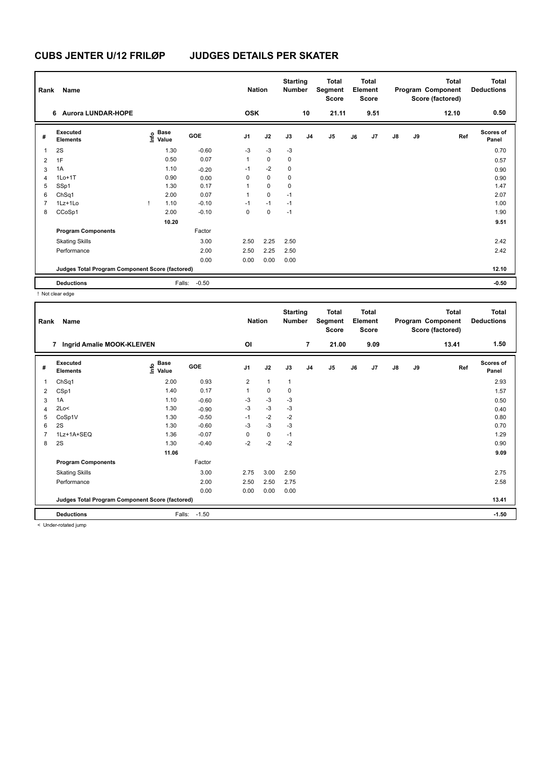| Rank           | Name                                            |                           |            |                | <b>Nation</b> | <b>Starting</b><br><b>Number</b> |                | <b>Total</b><br>Segment<br><b>Score</b> |    | <b>Total</b><br>Element<br>Score |               |    | <b>Total</b><br>Program Component<br>Score (factored) | Total<br><b>Deductions</b> |
|----------------|-------------------------------------------------|---------------------------|------------|----------------|---------------|----------------------------------|----------------|-----------------------------------------|----|----------------------------------|---------------|----|-------------------------------------------------------|----------------------------|
|                | 6 Aurora LUNDAR-HOPE                            |                           |            | <b>OSK</b>     |               |                                  | 10             | 21.11                                   |    | 9.51                             |               |    | 12.10                                                 | 0.50                       |
| #              | Executed<br><b>Elements</b>                     | Base<br>e Base<br>⊆ Value | <b>GOE</b> | J <sub>1</sub> | J2            | J3                               | J <sub>4</sub> | J <sub>5</sub>                          | J6 | J7                               | $\mathsf{J}8$ | J9 | Ref                                                   | <b>Scores of</b><br>Panel  |
| 1              | 2S                                              | 1.30                      | $-0.60$    | $-3$           | $-3$          | $-3$                             |                |                                         |    |                                  |               |    |                                                       | 0.70                       |
| $\overline{2}$ | 1F                                              | 0.50                      | 0.07       | $\mathbf{1}$   | 0             | 0                                |                |                                         |    |                                  |               |    |                                                       | 0.57                       |
| 3              | 1A                                              | 1.10                      | $-0.20$    | $-1$           | $-2$          | 0                                |                |                                         |    |                                  |               |    |                                                       | 0.90                       |
| 4              | $1Lo+1T$                                        | 0.90                      | 0.00       | 0              | 0             | 0                                |                |                                         |    |                                  |               |    |                                                       | 0.90                       |
| 5              | SSp1                                            | 1.30                      | 0.17       | 1              | $\mathbf 0$   | 0                                |                |                                         |    |                                  |               |    |                                                       | 1.47                       |
| 6              | ChSq1                                           | 2.00                      | 0.07       | 1              | $\pmb{0}$     | $-1$                             |                |                                         |    |                                  |               |    |                                                       | 2.07                       |
| 7              | 1Lz+1Lo                                         | 1.10                      | $-0.10$    | $-1$           | $-1$          | $-1$                             |                |                                         |    |                                  |               |    |                                                       | 1.00                       |
| 8              | CCoSp1                                          | 2.00                      | $-0.10$    | 0              | $\pmb{0}$     | $-1$                             |                |                                         |    |                                  |               |    |                                                       | 1.90                       |
|                |                                                 | 10.20                     |            |                |               |                                  |                |                                         |    |                                  |               |    |                                                       | 9.51                       |
|                | <b>Program Components</b>                       |                           | Factor     |                |               |                                  |                |                                         |    |                                  |               |    |                                                       |                            |
|                | <b>Skating Skills</b>                           |                           | 3.00       | 2.50           | 2.25          | 2.50                             |                |                                         |    |                                  |               |    |                                                       | 2.42                       |
|                | Performance                                     |                           | 2.00       | 2.50           | 2.25          | 2.50                             |                |                                         |    |                                  |               |    |                                                       | 2.42                       |
|                |                                                 |                           | 0.00       | 0.00           | 0.00          | 0.00                             |                |                                         |    |                                  |               |    |                                                       |                            |
|                | Judges Total Program Component Score (factored) |                           |            |                |               |                                  |                |                                         |    |                                  |               |    |                                                       | 12.10                      |
|                | <b>Deductions</b>                               | Falls:                    | $-0.50$    |                |               |                                  |                |                                         |    |                                  |               |    |                                                       | $-0.50$                    |

! Not clear edge

| Rank | Name                                            |                       |            | <b>Nation</b>  |              | <b>Starting</b><br><b>Number</b> |                | Total<br>Segment<br><b>Score</b> |    | <b>Total</b><br>Element<br><b>Score</b> |               |    | <b>Total</b><br>Program Component<br>Score (factored) | <b>Total</b><br><b>Deductions</b> |
|------|-------------------------------------------------|-----------------------|------------|----------------|--------------|----------------------------------|----------------|----------------------------------|----|-----------------------------------------|---------------|----|-------------------------------------------------------|-----------------------------------|
|      | Ingrid Amalie MOOK-KLEIVEN<br>7                 |                       |            | OI             |              |                                  | $\overline{7}$ | 21.00                            |    | 9.09                                    |               |    | 13.41                                                 | 1.50                              |
| #    | Executed<br><b>Elements</b>                     | $E$ Base<br>$E$ Value | <b>GOE</b> | J <sub>1</sub> | J2           | J3                               | J <sub>4</sub> | J <sub>5</sub>                   | J6 | J7                                      | $\mathsf{J}8$ | J9 | Ref                                                   | <b>Scores of</b><br>Panel         |
| 1    | ChSq1                                           | 2.00                  | 0.93       | 2              | $\mathbf{1}$ | 1                                |                |                                  |    |                                         |               |    |                                                       | 2.93                              |
| 2    | CSp1                                            | 1.40                  | 0.17       |                | 0            | 0                                |                |                                  |    |                                         |               |    |                                                       | 1.57                              |
| 3    | 1A                                              | 1.10                  | $-0.60$    | $-3$           | $-3$         | $-3$                             |                |                                  |    |                                         |               |    |                                                       | 0.50                              |
| 4    | 2Lo<                                            | 1.30                  | $-0.90$    | $-3$           | $-3$         | -3                               |                |                                  |    |                                         |               |    |                                                       | 0.40                              |
| 5    | CoSp1V                                          | 1.30                  | $-0.50$    | $-1$           | $-2$         | $-2$                             |                |                                  |    |                                         |               |    |                                                       | 0.80                              |
| 6    | 2S                                              | 1.30                  | $-0.60$    | $-3$           | $-3$         | $-3$                             |                |                                  |    |                                         |               |    |                                                       | 0.70                              |
| 7    | 1Lz+1A+SEQ                                      | 1.36                  | $-0.07$    | $\Omega$       | 0            | $-1$                             |                |                                  |    |                                         |               |    |                                                       | 1.29                              |
| 8    | 2S                                              | 1.30                  | $-0.40$    | $-2$           | $-2$         | $-2$                             |                |                                  |    |                                         |               |    |                                                       | 0.90                              |
|      |                                                 | 11.06                 |            |                |              |                                  |                |                                  |    |                                         |               |    |                                                       | 9.09                              |
|      | <b>Program Components</b>                       |                       | Factor     |                |              |                                  |                |                                  |    |                                         |               |    |                                                       |                                   |
|      | <b>Skating Skills</b>                           |                       | 3.00       | 2.75           | 3.00         | 2.50                             |                |                                  |    |                                         |               |    |                                                       | 2.75                              |
|      | Performance                                     |                       | 2.00       | 2.50           | 2.50         | 2.75                             |                |                                  |    |                                         |               |    |                                                       | 2.58                              |
|      |                                                 |                       | 0.00       | 0.00           | 0.00         | 0.00                             |                |                                  |    |                                         |               |    |                                                       |                                   |
|      | Judges Total Program Component Score (factored) |                       |            |                |              |                                  |                |                                  |    |                                         |               |    |                                                       | 13.41                             |
|      | <b>Deductions</b>                               | Falls:                | $-1.50$    |                |              |                                  |                |                                  |    |                                         |               |    |                                                       | $-1.50$                           |
|      | $\geq$ linder retated jump.                     |                       |            |                |              |                                  |                |                                  |    |                                         |               |    |                                                       |                                   |

< Under-rotated jump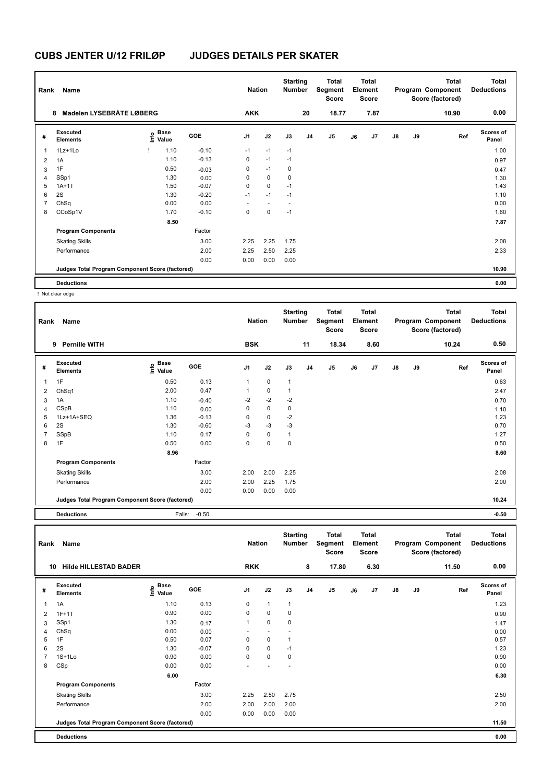| Rank           | Name                                            |                   |         | <b>Nation</b>  |             | <b>Starting</b><br><b>Number</b> |                | Total<br>Segment<br><b>Score</b> |    | <b>Total</b><br>Element<br><b>Score</b> |               |    | <b>Total</b><br>Program Component<br>Score (factored) | Total<br><b>Deductions</b> |
|----------------|-------------------------------------------------|-------------------|---------|----------------|-------------|----------------------------------|----------------|----------------------------------|----|-----------------------------------------|---------------|----|-------------------------------------------------------|----------------------------|
|                | Madelen LYSEBRÅTE LØBERG<br>8                   |                   |         | <b>AKK</b>     |             |                                  | 20             | 18.77                            |    | 7.87                                    |               |    | 10.90                                                 | 0.00                       |
| #              | Executed<br><b>Elements</b>                     | e Base<br>⊆ Value | GOE     | J <sub>1</sub> | J2          | J3                               | J <sub>4</sub> | J5                               | J6 | J7                                      | $\mathsf{J}8$ | J9 | Ref                                                   | <b>Scores of</b><br>Panel  |
| 1              | $1Lz+1L0$                                       | 1.10              | $-0.10$ | $-1$           | $-1$        | $-1$                             |                |                                  |    |                                         |               |    |                                                       | 1.00                       |
| $\overline{2}$ | 1A                                              | 1.10              | $-0.13$ | 0              | $-1$        | $-1$                             |                |                                  |    |                                         |               |    |                                                       | 0.97                       |
| 3              | 1F                                              | 0.50              | $-0.03$ | 0              | $-1$        | $\mathbf 0$                      |                |                                  |    |                                         |               |    |                                                       | 0.47                       |
| 4              | SSp1                                            | 1.30              | 0.00    | 0              | $\mathbf 0$ | 0                                |                |                                  |    |                                         |               |    |                                                       | 1.30                       |
| 5              | $1A+1T$                                         | 1.50              | $-0.07$ | 0              | $\mathbf 0$ | $-1$                             |                |                                  |    |                                         |               |    |                                                       | 1.43                       |
| 6              | 2S                                              | 1.30              | $-0.20$ | $-1$           | $-1$        | $-1$                             |                |                                  |    |                                         |               |    |                                                       | 1.10                       |
| 7              | ChSq                                            | 0.00              | 0.00    |                |             |                                  |                |                                  |    |                                         |               |    |                                                       | 0.00                       |
| 8              | CCoSp1V                                         | 1.70              | $-0.10$ | 0              | 0           | $-1$                             |                |                                  |    |                                         |               |    |                                                       | 1.60                       |
|                |                                                 | 8.50              |         |                |             |                                  |                |                                  |    |                                         |               |    |                                                       | 7.87                       |
|                | <b>Program Components</b>                       |                   | Factor  |                |             |                                  |                |                                  |    |                                         |               |    |                                                       |                            |
|                | <b>Skating Skills</b>                           |                   | 3.00    | 2.25           | 2.25        | 1.75                             |                |                                  |    |                                         |               |    |                                                       | 2.08                       |
|                | Performance                                     |                   | 2.00    | 2.25           | 2.50        | 2.25                             |                |                                  |    |                                         |               |    |                                                       | 2.33                       |
|                |                                                 |                   | 0.00    | 0.00           | 0.00        | 0.00                             |                |                                  |    |                                         |               |    |                                                       |                            |
|                | Judges Total Program Component Score (factored) |                   |         |                |             |                                  |                |                                  |    |                                         |               |    |                                                       | 10.90                      |
|                | <b>Deductions</b>                               |                   |         |                |             |                                  |                |                                  |    |                                         |               |    |                                                       | 0.00                       |

! Not clear edge

| Rank | Name                                            |                       |         | <b>Nation</b>  |             | <b>Starting</b><br><b>Number</b> |                | <b>Total</b><br>Segment<br><b>Score</b> |    | <b>Total</b><br>Element<br><b>Score</b> |               |    | <b>Total</b><br>Program Component<br>Score (factored) | <b>Total</b><br><b>Deductions</b> |
|------|-------------------------------------------------|-----------------------|---------|----------------|-------------|----------------------------------|----------------|-----------------------------------------|----|-----------------------------------------|---------------|----|-------------------------------------------------------|-----------------------------------|
|      | 9<br><b>Pernille WITH</b>                       |                       |         | <b>BSK</b>     |             |                                  | 11             | 18.34                                   |    | 8.60                                    |               |    | 10.24                                                 | 0.50                              |
| #    | Executed<br><b>Elements</b>                     | $\sum_{i=1}^{n}$ Base | GOE     | J <sub>1</sub> | J2          | J3                               | J <sub>4</sub> | J <sub>5</sub>                          | J6 | J7                                      | $\mathsf{J}8$ | J9 | Ref                                                   | <b>Scores of</b><br>Panel         |
| 1    | 1F                                              | 0.50                  | 0.13    | 1              | $\mathbf 0$ | 1                                |                |                                         |    |                                         |               |    |                                                       | 0.63                              |
| 2    | ChSq1                                           | 2.00                  | 0.47    |                | $\mathbf 0$ |                                  |                |                                         |    |                                         |               |    |                                                       | 2.47                              |
| 3    | 1A                                              | 1.10                  | $-0.40$ | $-2$           | $-2$        | $-2$                             |                |                                         |    |                                         |               |    |                                                       | 0.70                              |
| 4    | CSpB                                            | 1.10                  | 0.00    | 0              | 0           | 0                                |                |                                         |    |                                         |               |    |                                                       | 1.10                              |
| 5    | 1Lz+1A+SEQ                                      | 1.36                  | $-0.13$ | $\Omega$       | $\mathbf 0$ | $-2$                             |                |                                         |    |                                         |               |    |                                                       | 1.23                              |
| 6    | 2S                                              | 1.30                  | $-0.60$ | $-3$           | $-3$        | $-3$                             |                |                                         |    |                                         |               |    |                                                       | 0.70                              |
| 7    | SSpB                                            | 1.10                  | 0.17    | $\Omega$       | $\mathbf 0$ | $\mathbf 1$                      |                |                                         |    |                                         |               |    |                                                       | 1.27                              |
| 8    | 1F                                              | 0.50                  | 0.00    | 0              | $\mathbf 0$ | 0                                |                |                                         |    |                                         |               |    |                                                       | 0.50                              |
|      |                                                 | 8.96                  |         |                |             |                                  |                |                                         |    |                                         |               |    |                                                       | 8.60                              |
|      | <b>Program Components</b>                       |                       | Factor  |                |             |                                  |                |                                         |    |                                         |               |    |                                                       |                                   |
|      | <b>Skating Skills</b>                           |                       | 3.00    | 2.00           | 2.00        | 2.25                             |                |                                         |    |                                         |               |    |                                                       | 2.08                              |
|      | Performance                                     |                       | 2.00    | 2.00           | 2.25        | 1.75                             |                |                                         |    |                                         |               |    |                                                       | 2.00                              |
|      |                                                 |                       | 0.00    | 0.00           | 0.00        | 0.00                             |                |                                         |    |                                         |               |    |                                                       |                                   |
|      | Judges Total Program Component Score (factored) |                       |         |                |             |                                  |                |                                         |    |                                         |               |    |                                                       | 10.24                             |
|      |                                                 |                       |         |                |             |                                  |                |                                         |    |                                         |               |    |                                                       |                                   |

**Deductions** Falls: -0.50 **-0.50**

| Rank | Name                                            |                                  |         | <b>Nation</b>  |              | <b>Starting</b><br><b>Number</b> |                | <b>Total</b><br>Segment<br><b>Score</b> |    | <b>Total</b><br>Element<br><b>Score</b> |               |    | <b>Total</b><br>Program Component<br>Score (factored) | <b>Total</b><br><b>Deductions</b> |
|------|-------------------------------------------------|----------------------------------|---------|----------------|--------------|----------------------------------|----------------|-----------------------------------------|----|-----------------------------------------|---------------|----|-------------------------------------------------------|-----------------------------------|
| 10   | <b>Hilde HILLESTAD BADER</b>                    |                                  |         | <b>RKK</b>     |              |                                  | 8              | 17.80                                   |    | 6.30                                    |               |    | 11.50                                                 | 0.00                              |
| #    | Executed<br><b>Elements</b>                     | <b>Base</b><br>e Base<br>E Value | GOE     | J <sub>1</sub> | J2           | J3                               | J <sub>4</sub> | J <sub>5</sub>                          | J6 | J <sub>7</sub>                          | $\mathsf{J}8$ | J9 | Ref                                                   | <b>Scores of</b><br>Panel         |
| 1    | 1A                                              | 1.10                             | 0.13    | 0              | $\mathbf{1}$ | $\mathbf{1}$                     |                |                                         |    |                                         |               |    |                                                       | 1.23                              |
| 2    | $1F+1T$                                         | 0.90                             | 0.00    | 0              | 0            | 0                                |                |                                         |    |                                         |               |    |                                                       | 0.90                              |
| 3    | SSp1                                            | 1.30                             | 0.17    | 1              | $\mathbf 0$  | 0                                |                |                                         |    |                                         |               |    |                                                       | 1.47                              |
| 4    | ChSq                                            | 0.00                             | 0.00    |                |              |                                  |                |                                         |    |                                         |               |    |                                                       | 0.00                              |
| 5    | 1F                                              | 0.50                             | 0.07    | 0              | $\mathbf 0$  | $\mathbf{1}$                     |                |                                         |    |                                         |               |    |                                                       | 0.57                              |
| 6    | 2S                                              | 1.30                             | $-0.07$ | 0              | $\mathbf 0$  | $-1$                             |                |                                         |    |                                         |               |    |                                                       | 1.23                              |
| 7    | $1S+1L0$                                        | 0.90                             | 0.00    | 0              | $\mathbf 0$  | 0                                |                |                                         |    |                                         |               |    |                                                       | 0.90                              |
| 8    | CSp                                             | 0.00                             | 0.00    |                |              |                                  |                |                                         |    |                                         |               |    |                                                       | 0.00                              |
|      |                                                 | 6.00                             |         |                |              |                                  |                |                                         |    |                                         |               |    |                                                       | 6.30                              |
|      | <b>Program Components</b>                       |                                  | Factor  |                |              |                                  |                |                                         |    |                                         |               |    |                                                       |                                   |
|      | <b>Skating Skills</b>                           |                                  | 3.00    | 2.25           | 2.50         | 2.75                             |                |                                         |    |                                         |               |    |                                                       | 2.50                              |
|      | Performance                                     |                                  | 2.00    | 2.00           | 2.00         | 2.00                             |                |                                         |    |                                         |               |    |                                                       | 2.00                              |
|      |                                                 |                                  | 0.00    | 0.00           | 0.00         | 0.00                             |                |                                         |    |                                         |               |    |                                                       |                                   |
|      | Judges Total Program Component Score (factored) |                                  |         |                |              |                                  |                |                                         |    |                                         |               |    |                                                       | 11.50                             |
|      | <b>Deductions</b>                               |                                  |         |                |              |                                  |                |                                         |    |                                         |               |    |                                                       | 0.00                              |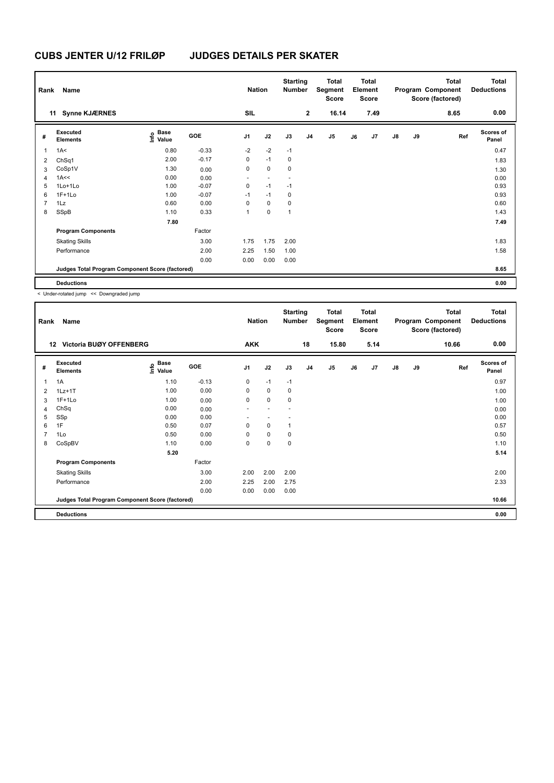| Rank           | Name                                            |                                             |         | <b>Nation</b>  |                          | <b>Starting</b><br><b>Number</b> |                | Total<br>Segment<br>Score |    | <b>Total</b><br>Element<br>Score |               |    | <b>Total</b><br>Program Component<br>Score (factored) | <b>Total</b><br><b>Deductions</b> |
|----------------|-------------------------------------------------|---------------------------------------------|---------|----------------|--------------------------|----------------------------------|----------------|---------------------------|----|----------------------------------|---------------|----|-------------------------------------------------------|-----------------------------------|
|                | 11 Synne KJÆRNES                                |                                             |         | SIL            |                          |                                  | $\mathbf{2}$   | 16.14                     |    | 7.49                             |               |    | 8.65                                                  | 0.00                              |
| #              | Executed<br><b>Elements</b>                     | <b>Base</b><br>e <sup>Base</sup><br>⊆ Value | GOE     | J <sub>1</sub> | J2                       | J3                               | J <sub>4</sub> | J <sub>5</sub>            | J6 | J7                               | $\mathsf{J}8$ | J9 | Ref                                                   | <b>Scores of</b><br>Panel         |
| $\overline{1}$ | 1A<                                             | 0.80                                        | $-0.33$ | $-2$           | $-2$                     | $-1$                             |                |                           |    |                                  |               |    |                                                       | 0.47                              |
| 2              | ChSq1                                           | 2.00                                        | $-0.17$ | 0              | $-1$                     | 0                                |                |                           |    |                                  |               |    |                                                       | 1.83                              |
| 3              | CoSp1V                                          | 1.30                                        | 0.00    | 0              | 0                        | 0                                |                |                           |    |                                  |               |    |                                                       | 1.30                              |
| 4              | 1A<<                                            | 0.00                                        | 0.00    | ٠              | $\overline{\phantom{a}}$ | $\overline{\phantom{a}}$         |                |                           |    |                                  |               |    |                                                       | 0.00                              |
| 5              | 1Lo+1Lo                                         | 1.00                                        | $-0.07$ | 0              | $-1$                     | $-1$                             |                |                           |    |                                  |               |    |                                                       | 0.93                              |
| 6              | $1F+1Lo$                                        | 1.00                                        | $-0.07$ | $-1$           | $-1$                     | 0                                |                |                           |    |                                  |               |    |                                                       | 0.93                              |
| $\overline{7}$ | 1Lz                                             | 0.60                                        | 0.00    | 0              | 0                        | 0                                |                |                           |    |                                  |               |    |                                                       | 0.60                              |
| 8              | SSpB                                            | 1.10                                        | 0.33    | 1              | $\mathbf 0$              | $\overline{1}$                   |                |                           |    |                                  |               |    |                                                       | 1.43                              |
|                |                                                 | 7.80                                        |         |                |                          |                                  |                |                           |    |                                  |               |    |                                                       | 7.49                              |
|                | <b>Program Components</b>                       |                                             | Factor  |                |                          |                                  |                |                           |    |                                  |               |    |                                                       |                                   |
|                | <b>Skating Skills</b>                           |                                             | 3.00    | 1.75           | 1.75                     | 2.00                             |                |                           |    |                                  |               |    |                                                       | 1.83                              |
|                | Performance                                     |                                             | 2.00    | 2.25           | 1.50                     | 1.00                             |                |                           |    |                                  |               |    |                                                       | 1.58                              |
|                |                                                 |                                             | 0.00    | 0.00           | 0.00                     | 0.00                             |                |                           |    |                                  |               |    |                                                       |                                   |
|                | Judges Total Program Component Score (factored) |                                             |         |                |                          |                                  |                |                           |    |                                  |               |    |                                                       | 8.65                              |
|                | <b>Deductions</b>                               |                                             |         |                |                          |                                  |                |                           |    |                                  |               |    |                                                       | 0.00                              |

< Under-rotated jump << Downgraded jump

| Rank           | Name                                            |                       |         | <b>Nation</b>  |      | <b>Starting</b><br><b>Number</b> |                | <b>Total</b><br>Segment<br>Score |    | <b>Total</b><br>Element<br>Score |               |    | <b>Total</b><br>Program Component<br>Score (factored) | Total<br><b>Deductions</b> |
|----------------|-------------------------------------------------|-----------------------|---------|----------------|------|----------------------------------|----------------|----------------------------------|----|----------------------------------|---------------|----|-------------------------------------------------------|----------------------------|
|                | <b>Victoria BUØY OFFENBERG</b><br>12            |                       |         | <b>AKK</b>     |      |                                  | 18             | 15.80                            |    | 5.14                             |               |    | 10.66                                                 | 0.00                       |
| #              | <b>Executed</b><br><b>Elements</b>              | $\sum_{i=1}^{n}$ Base | GOE     | J <sub>1</sub> | J2   | J3                               | J <sub>4</sub> | J5                               | J6 | J7                               | $\mathsf{J}8$ | J9 | Ref                                                   | <b>Scores of</b><br>Panel  |
| 1              | 1A                                              | 1.10                  | $-0.13$ | 0              | $-1$ | $-1$                             |                |                                  |    |                                  |               |    |                                                       | 0.97                       |
| 2              | $1Lz+1T$                                        | 1.00                  | 0.00    | 0              | 0    | $\mathbf 0$                      |                |                                  |    |                                  |               |    |                                                       | 1.00                       |
| 3              | $1F+1Lo$                                        | 1.00                  | 0.00    | $\mathbf 0$    | 0    | $\mathbf 0$                      |                |                                  |    |                                  |               |    |                                                       | 1.00                       |
| 4              | ChSq                                            | 0.00                  | 0.00    |                |      |                                  |                |                                  |    |                                  |               |    |                                                       | 0.00                       |
| 5              | SSp                                             | 0.00                  | 0.00    |                |      |                                  |                |                                  |    |                                  |               |    |                                                       | 0.00                       |
| 6              | 1F                                              | 0.50                  | 0.07    | 0              | 0    | 1                                |                |                                  |    |                                  |               |    |                                                       | 0.57                       |
| $\overline{7}$ | 1Lo                                             | 0.50                  | 0.00    | $\Omega$       | 0    | $\mathbf 0$                      |                |                                  |    |                                  |               |    |                                                       | 0.50                       |
| 8              | CoSpBV                                          | 1.10                  | 0.00    | 0              | 0    | 0                                |                |                                  |    |                                  |               |    |                                                       | 1.10                       |
|                |                                                 | 5.20                  |         |                |      |                                  |                |                                  |    |                                  |               |    |                                                       | 5.14                       |
|                | <b>Program Components</b>                       |                       | Factor  |                |      |                                  |                |                                  |    |                                  |               |    |                                                       |                            |
|                | <b>Skating Skills</b>                           |                       | 3.00    | 2.00           | 2.00 | 2.00                             |                |                                  |    |                                  |               |    |                                                       | 2.00                       |
|                | Performance                                     |                       | 2.00    | 2.25           | 2.00 | 2.75                             |                |                                  |    |                                  |               |    |                                                       | 2.33                       |
|                |                                                 |                       | 0.00    | 0.00           | 0.00 | 0.00                             |                |                                  |    |                                  |               |    |                                                       |                            |
|                | Judges Total Program Component Score (factored) |                       |         |                |      |                                  |                |                                  |    |                                  |               |    |                                                       | 10.66                      |
|                | <b>Deductions</b>                               |                       |         |                |      |                                  |                |                                  |    |                                  |               |    |                                                       | 0.00                       |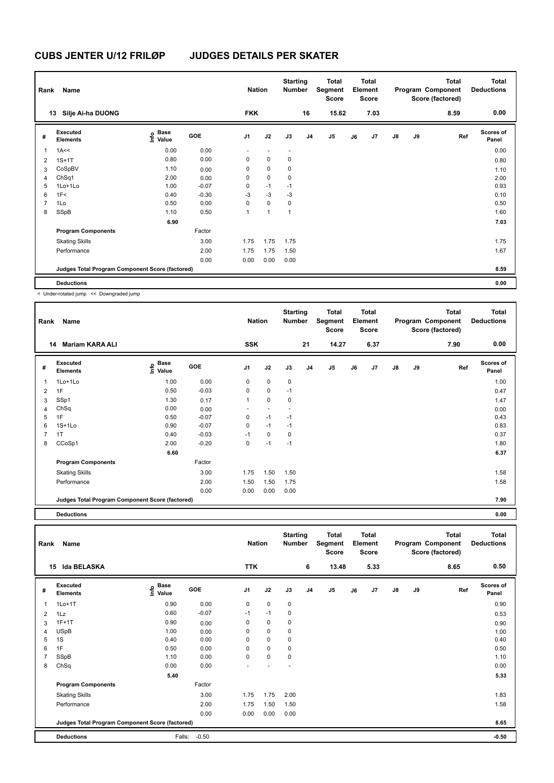| Rank           | Name                                            |                                  |         | <b>Nation</b>            |                          | <b>Starting</b><br><b>Number</b> |                | <b>Total</b><br>Segment<br><b>Score</b> |    | <b>Total</b><br>Element<br><b>Score</b> |               |    | <b>Total</b><br>Program Component<br>Score (factored) | <b>Total</b><br><b>Deductions</b> |
|----------------|-------------------------------------------------|----------------------------------|---------|--------------------------|--------------------------|----------------------------------|----------------|-----------------------------------------|----|-----------------------------------------|---------------|----|-------------------------------------------------------|-----------------------------------|
|                | Silje Ai-ha DUONG<br>13                         |                                  |         | <b>FKK</b>               |                          |                                  | 16             | 15.62                                   |    | 7.03                                    |               |    | 8.59                                                  | 0.00                              |
| #              | Executed<br><b>Elements</b>                     | <b>Base</b><br>o Base<br>⊆ Value | GOE     | J <sub>1</sub>           | J2                       | J3                               | J <sub>4</sub> | J <sub>5</sub>                          | J6 | J7                                      | $\mathsf{J}8$ | J9 | Ref                                                   | <b>Scores of</b><br>Panel         |
| $\overline{1}$ | 1A<<                                            | 0.00                             | 0.00    | $\overline{\phantom{a}}$ | $\overline{\phantom{a}}$ | $\overline{\phantom{a}}$         |                |                                         |    |                                         |               |    |                                                       | 0.00                              |
| $\overline{2}$ | $1S+1T$                                         | 0.80                             | 0.00    | 0                        | $\mathbf 0$              | 0                                |                |                                         |    |                                         |               |    |                                                       | 0.80                              |
| 3              | CoSpBV                                          | 1.10                             | 0.00    | 0                        | $\mathbf 0$              | 0                                |                |                                         |    |                                         |               |    |                                                       | 1.10                              |
| 4              | ChSq1                                           | 2.00                             | 0.00    | 0                        | $\mathbf 0$              | 0                                |                |                                         |    |                                         |               |    |                                                       | 2.00                              |
| 5              | 1Lo+1Lo                                         | 1.00                             | $-0.07$ | 0                        | $-1$                     | $-1$                             |                |                                         |    |                                         |               |    |                                                       | 0.93                              |
| 6              | 1F<                                             | 0.40                             | $-0.30$ | $-3$                     | $-3$                     | $-3$                             |                |                                         |    |                                         |               |    |                                                       | 0.10                              |
| $\overline{7}$ | 1Lo                                             | 0.50                             | 0.00    | 0                        | $\mathbf 0$              | $\mathbf 0$                      |                |                                         |    |                                         |               |    |                                                       | 0.50                              |
| 8              | SSpB                                            | 1.10                             | 0.50    | 1                        | 1                        | $\mathbf{1}$                     |                |                                         |    |                                         |               |    |                                                       | 1.60                              |
|                |                                                 | 6.90                             |         |                          |                          |                                  |                |                                         |    |                                         |               |    |                                                       | 7.03                              |
|                | <b>Program Components</b>                       |                                  | Factor  |                          |                          |                                  |                |                                         |    |                                         |               |    |                                                       |                                   |
|                | <b>Skating Skills</b>                           |                                  | 3.00    | 1.75                     | 1.75                     | 1.75                             |                |                                         |    |                                         |               |    |                                                       | 1.75                              |
|                | Performance                                     |                                  | 2.00    | 1.75                     | 1.75                     | 1.50                             |                |                                         |    |                                         |               |    |                                                       | 1.67                              |
|                |                                                 |                                  | 0.00    | 0.00                     | 0.00                     | 0.00                             |                |                                         |    |                                         |               |    |                                                       |                                   |
|                | Judges Total Program Component Score (factored) |                                  |         |                          |                          |                                  |                |                                         |    |                                         |               |    |                                                       | 8.59                              |
|                | <b>Deductions</b>                               |                                  |         |                          |                          |                                  |                |                                         |    |                                         |               |    |                                                       | 0.00                              |

< Under-rotated jump << Downgraded jump

| Rank           | Name                                            |                                                          |         | <b>Nation</b>  |             | <b>Starting</b><br><b>Number</b> |                | <b>Total</b><br>Segment<br><b>Score</b> |    | <b>Total</b><br>Element<br><b>Score</b> |               |    | <b>Total</b><br>Program Component<br>Score (factored) | <b>Total</b><br><b>Deductions</b> |
|----------------|-------------------------------------------------|----------------------------------------------------------|---------|----------------|-------------|----------------------------------|----------------|-----------------------------------------|----|-----------------------------------------|---------------|----|-------------------------------------------------------|-----------------------------------|
|                | <b>Mariam KARA ALI</b><br>14                    |                                                          |         | <b>SSK</b>     |             |                                  | 21             | 14.27                                   |    | 6.37                                    |               |    | 7.90                                                  | 0.00                              |
| #              | Executed<br><b>Elements</b>                     | <b>Base</b><br>$\mathop{\mathsf{Irr}}\nolimits$<br>Value | GOE     | J <sub>1</sub> | J2          | J3                               | J <sub>4</sub> | J5                                      | J6 | J7                                      | $\mathsf{J}8$ | J9 | Ref                                                   | <b>Scores of</b><br>Panel         |
| 1              | 1Lo+1Lo                                         | 1.00                                                     | 0.00    | 0              | $\mathbf 0$ | $\mathbf 0$                      |                |                                         |    |                                         |               |    |                                                       | 1.00                              |
| $\overline{2}$ | 1F                                              | 0.50                                                     | $-0.03$ | 0              | 0           | $-1$                             |                |                                         |    |                                         |               |    |                                                       | 0.47                              |
| 3              | SSp1                                            | 1.30                                                     | 0.17    | 1              | 0           | $\mathbf 0$                      |                |                                         |    |                                         |               |    |                                                       | 1.47                              |
| 4              | ChSq                                            | 0.00                                                     | 0.00    |                |             |                                  |                |                                         |    |                                         |               |    |                                                       | 0.00                              |
| 5              | 1F                                              | 0.50                                                     | $-0.07$ | 0              | $-1$        | $-1$                             |                |                                         |    |                                         |               |    |                                                       | 0.43                              |
| 6              | $1S+1Lo$                                        | 0.90                                                     | $-0.07$ | 0              | $-1$        | $-1$                             |                |                                         |    |                                         |               |    |                                                       | 0.83                              |
| 7              | 1T                                              | 0.40                                                     | $-0.03$ | $-1$           | $\mathbf 0$ | $\mathbf 0$                      |                |                                         |    |                                         |               |    |                                                       | 0.37                              |
| 8              | CCoSp1                                          | 2.00                                                     | $-0.20$ | 0              | $-1$        | $-1$                             |                |                                         |    |                                         |               |    |                                                       | 1.80                              |
|                |                                                 | 6.60                                                     |         |                |             |                                  |                |                                         |    |                                         |               |    |                                                       | 6.37                              |
|                | <b>Program Components</b>                       |                                                          | Factor  |                |             |                                  |                |                                         |    |                                         |               |    |                                                       |                                   |
|                | <b>Skating Skills</b>                           |                                                          | 3.00    | 1.75           | 1.50        | 1.50                             |                |                                         |    |                                         |               |    |                                                       | 1.58                              |
|                | Performance                                     |                                                          | 2.00    | 1.50           | 1.50        | 1.75                             |                |                                         |    |                                         |               |    |                                                       | 1.58                              |
|                |                                                 |                                                          | 0.00    | 0.00           | 0.00        | 0.00                             |                |                                         |    |                                         |               |    |                                                       |                                   |
|                | Judges Total Program Component Score (factored) |                                                          |         |                |             |                                  |                |                                         |    |                                         |               |    |                                                       | 7.90                              |

**Deductions 0.00**

**Total Deductions Total Program Component Score (factored) Total Element Score Total Segment Score Starting Rank Name Nation Number # Executed Elements Base Value GOE J1 J2 J3 J4 J5 J6 J7 J8 J9 Scores of Panel** 1 0.90 0.00 0 0 0 **Ref**  سان 1995 **International Company of Science of Company of Science of Science of Science of Science of Science o**<br>المسابق المسابق المسابق المسابق المسابق المسابق المسابق المسابق المسابق المسابق المسابق المسابق المسابق المس  **15 Ida BELASKA TTK 6 13.48 5.33 8.65 0.50** 2 1Lz 0.60 -0.07 -1 -1 0 0.53 3 1F+1T 0.90 0.00 0 0 0 0.90 4 USpB 1.00 0.00 0 0 0 1.00 5 1S 0.40 0.00 0 0 0 0.40 6 1F 0.50 0.00 0 0 0 0.50 7 SSpB 1.10 0.00 0 0 0 1.10 8 ChSq 0.00 0.00 - - - 0.00  **5.40 5.33 Program Components**  Skating Skills 1.75 2.00 Factor 3.00 1.75 1.75 2.00 1.83 Performance 2.00 2.00 1.56 1.50 1.50 1.50 1.50 1.50 1.58 1.50 1.58 1.58 1.58 1.58 0.00 0.00 0.00 0.00 **Deductions** Falls: -0.50 **-0.50 Judges Total Program Component Score (factored) 8.65**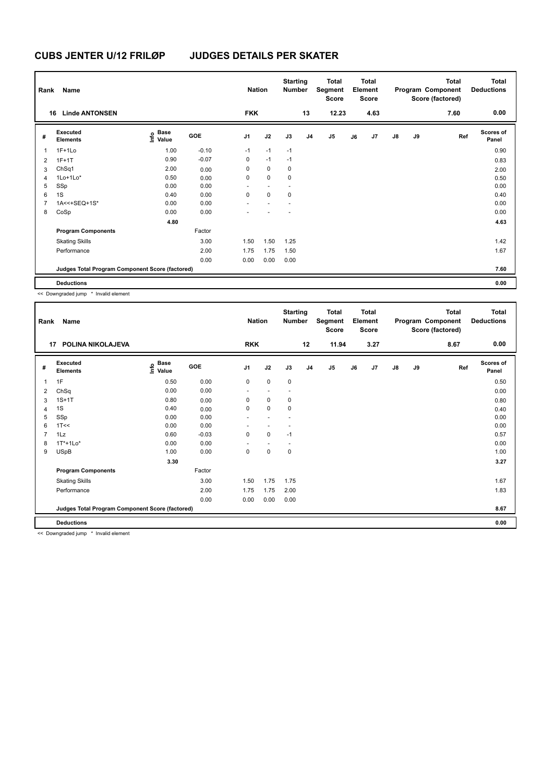| Rank | Name                                            |                   |         | <b>Nation</b>  |                          | <b>Starting</b><br><b>Number</b> |                | <b>Total</b><br>Segment<br><b>Score</b> |    | <b>Total</b><br>Element<br>Score |               |    | <b>Total</b><br>Program Component<br>Score (factored) | <b>Total</b><br><b>Deductions</b> |
|------|-------------------------------------------------|-------------------|---------|----------------|--------------------------|----------------------------------|----------------|-----------------------------------------|----|----------------------------------|---------------|----|-------------------------------------------------------|-----------------------------------|
| 16   | <b>Linde ANTONSEN</b>                           |                   |         | <b>FKK</b>     |                          |                                  | 13             | 12.23                                   |    | 4.63                             |               |    | 7.60                                                  | 0.00                              |
| #    | Executed<br><b>Elements</b>                     | e Base<br>E Value | GOE     | J <sub>1</sub> | J2                       | J3                               | J <sub>4</sub> | J <sub>5</sub>                          | J6 | J7                               | $\mathsf{J}8$ | J9 | Ref                                                   | <b>Scores of</b><br>Panel         |
| 1    | $1F+1Lo$                                        | 1.00              | $-0.10$ | $-1$           | $-1$                     | $-1$                             |                |                                         |    |                                  |               |    |                                                       | 0.90                              |
| 2    | $1F+1T$                                         | 0.90              | $-0.07$ | 0              | $-1$                     | $-1$                             |                |                                         |    |                                  |               |    |                                                       | 0.83                              |
| 3    | ChSq1                                           | 2.00              | 0.00    | 0              | 0                        | 0                                |                |                                         |    |                                  |               |    |                                                       | 2.00                              |
| 4    | $1$ Lo $+1$ Lo $*$                              | 0.50              | 0.00    | 0              | $\mathbf 0$              | $\mathbf 0$                      |                |                                         |    |                                  |               |    |                                                       | 0.50                              |
| 5    | SSp                                             | 0.00              | 0.00    | ٠              | $\overline{\phantom{a}}$ | $\overline{\phantom{a}}$         |                |                                         |    |                                  |               |    |                                                       | 0.00                              |
| 6    | 1S                                              | 0.40              | 0.00    | 0              | $\mathbf 0$              | 0                                |                |                                         |    |                                  |               |    |                                                       | 0.40                              |
| 7    | 1A<<+SEQ+1S*                                    | 0.00              | 0.00    |                |                          |                                  |                |                                         |    |                                  |               |    |                                                       | 0.00                              |
| 8    | CoSp                                            | 0.00              | 0.00    |                |                          |                                  |                |                                         |    |                                  |               |    |                                                       | 0.00                              |
|      |                                                 | 4.80              |         |                |                          |                                  |                |                                         |    |                                  |               |    |                                                       | 4.63                              |
|      | <b>Program Components</b>                       |                   | Factor  |                |                          |                                  |                |                                         |    |                                  |               |    |                                                       |                                   |
|      | <b>Skating Skills</b>                           |                   | 3.00    | 1.50           | 1.50                     | 1.25                             |                |                                         |    |                                  |               |    |                                                       | 1.42                              |
|      | Performance                                     |                   | 2.00    | 1.75           | 1.75                     | 1.50                             |                |                                         |    |                                  |               |    |                                                       | 1.67                              |
|      |                                                 |                   | 0.00    | 0.00           | 0.00                     | 0.00                             |                |                                         |    |                                  |               |    |                                                       |                                   |
|      | Judges Total Program Component Score (factored) |                   |         |                |                          |                                  |                |                                         |    |                                  |               |    |                                                       | 7.60                              |
|      | <b>Deductions</b>                               |                   |         |                |                          |                                  |                |                                         |    |                                  |               |    |                                                       | 0.00                              |

<< Downgraded jump \* Invalid element

| Rank           | Name                                            |                                   |            | <b>Nation</b>  |      | <b>Starting</b><br><b>Number</b> |                | <b>Total</b><br>Segment<br><b>Score</b> |    | <b>Total</b><br>Element<br><b>Score</b> |               |    | <b>Total</b><br>Program Component<br>Score (factored) | <b>Total</b><br><b>Deductions</b> |
|----------------|-------------------------------------------------|-----------------------------------|------------|----------------|------|----------------------------------|----------------|-----------------------------------------|----|-----------------------------------------|---------------|----|-------------------------------------------------------|-----------------------------------|
| 17             | POLINA NIKOLAJEVA                               |                                   |            | <b>RKK</b>     |      |                                  | 12             | 11.94                                   |    | 3.27                                    |               |    | 8.67                                                  | 0.00                              |
| #              | Executed<br><b>Elements</b>                     | $\overset{\circ}{\text{E}}$ Value | <b>GOE</b> | J <sub>1</sub> | J2   | J3                               | J <sub>4</sub> | J <sub>5</sub>                          | J6 | J7                                      | $\mathsf{J}8$ | J9 | Ref                                                   | <b>Scores of</b><br>Panel         |
| 1              | 1F                                              | 0.50                              | 0.00       | 0              | 0    | $\mathbf 0$                      |                |                                         |    |                                         |               |    |                                                       | 0.50                              |
| 2              | ChSq                                            | 0.00                              | 0.00       |                |      |                                  |                |                                         |    |                                         |               |    |                                                       | 0.00                              |
| 3              | $1S+1T$                                         | 0.80                              | 0.00       | 0              | 0    | $\mathbf 0$                      |                |                                         |    |                                         |               |    |                                                       | 0.80                              |
| 4              | 1S                                              | 0.40                              | 0.00       | $\Omega$       | 0    | $\mathbf 0$                      |                |                                         |    |                                         |               |    |                                                       | 0.40                              |
| 5              | SSp                                             | 0.00                              | 0.00       |                |      |                                  |                |                                         |    |                                         |               |    |                                                       | 0.00                              |
| 6              | 1T<<                                            | 0.00                              | 0.00       |                |      |                                  |                |                                         |    |                                         |               |    |                                                       | 0.00                              |
| $\overline{7}$ | 1Lz                                             | 0.60                              | $-0.03$    | $\Omega$       | 0    | $-1$                             |                |                                         |    |                                         |               |    |                                                       | 0.57                              |
| 8              | $1T*+1Lo*$                                      | 0.00                              | 0.00       |                |      |                                  |                |                                         |    |                                         |               |    |                                                       | 0.00                              |
| 9              | <b>USpB</b>                                     | 1.00                              | 0.00       | 0              | 0    | $\mathbf 0$                      |                |                                         |    |                                         |               |    |                                                       | 1.00                              |
|                |                                                 | 3.30                              |            |                |      |                                  |                |                                         |    |                                         |               |    |                                                       | 3.27                              |
|                | <b>Program Components</b>                       |                                   | Factor     |                |      |                                  |                |                                         |    |                                         |               |    |                                                       |                                   |
|                | <b>Skating Skills</b>                           |                                   | 3.00       | 1.50           | 1.75 | 1.75                             |                |                                         |    |                                         |               |    |                                                       | 1.67                              |
|                | Performance                                     |                                   | 2.00       | 1.75           | 1.75 | 2.00                             |                |                                         |    |                                         |               |    |                                                       | 1.83                              |
|                |                                                 |                                   | 0.00       | 0.00           | 0.00 | 0.00                             |                |                                         |    |                                         |               |    |                                                       |                                   |
|                | Judges Total Program Component Score (factored) |                                   |            |                |      |                                  |                |                                         |    |                                         |               |    |                                                       | 8.67                              |
|                | <b>Deductions</b>                               |                                   |            |                |      |                                  |                |                                         |    |                                         |               |    |                                                       | 0.00                              |

<< Downgraded jump \* Invalid element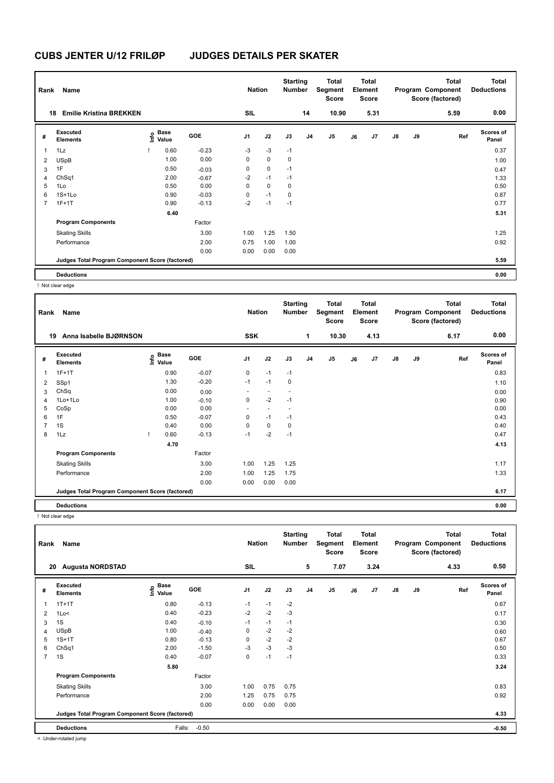| Rank           | Name                                            |                   |         | <b>Nation</b>  |             | <b>Starting</b><br>Number |                | <b>Total</b><br>Segment<br><b>Score</b> |    | <b>Total</b><br>Element<br><b>Score</b> |               |    | Total<br>Program Component<br>Score (factored) | <b>Total</b><br><b>Deductions</b> |
|----------------|-------------------------------------------------|-------------------|---------|----------------|-------------|---------------------------|----------------|-----------------------------------------|----|-----------------------------------------|---------------|----|------------------------------------------------|-----------------------------------|
|                | <b>Emilie Kristina BREKKEN</b><br>18            |                   |         | SIL            |             |                           | 14             | 10.90                                   |    | 5.31                                    |               |    | 5.59                                           | 0.00                              |
| #              | Executed<br><b>Elements</b>                     | e Base<br>E Value | GOE     | J <sub>1</sub> | J2          | J3                        | J <sub>4</sub> | J5                                      | J6 | J7                                      | $\mathsf{J}8$ | J9 | Ref                                            | <b>Scores of</b><br>Panel         |
| 1              | 1Lz                                             | 0.60              | $-0.23$ | $-3$           | $-3$        | $-1$                      |                |                                         |    |                                         |               |    |                                                | 0.37                              |
| 2              | <b>USpB</b>                                     | 1.00              | 0.00    | 0              | $\mathbf 0$ | 0                         |                |                                         |    |                                         |               |    |                                                | 1.00                              |
| 3              | 1F                                              | 0.50              | $-0.03$ | 0              | $\pmb{0}$   | $-1$                      |                |                                         |    |                                         |               |    |                                                | 0.47                              |
| 4              | ChSq1                                           | 2.00              | $-0.67$ | $-2$           | $-1$        | $-1$                      |                |                                         |    |                                         |               |    |                                                | 1.33                              |
| 5              | 1Lo                                             | 0.50              | 0.00    | $\mathbf 0$    | $\mathbf 0$ | 0                         |                |                                         |    |                                         |               |    |                                                | 0.50                              |
| 6              | $1S+1Lo$                                        | 0.90              | $-0.03$ | 0              | $-1$        | 0                         |                |                                         |    |                                         |               |    |                                                | 0.87                              |
| $\overline{7}$ | $1F+1T$                                         | 0.90              | $-0.13$ | $-2$           | $-1$        | $-1$                      |                |                                         |    |                                         |               |    |                                                | 0.77                              |
|                |                                                 | 6.40              |         |                |             |                           |                |                                         |    |                                         |               |    |                                                | 5.31                              |
|                | <b>Program Components</b>                       |                   | Factor  |                |             |                           |                |                                         |    |                                         |               |    |                                                |                                   |
|                | <b>Skating Skills</b>                           |                   | 3.00    | 1.00           | 1.25        | 1.50                      |                |                                         |    |                                         |               |    |                                                | 1.25                              |
|                | Performance                                     |                   | 2.00    | 0.75           | 1.00        | 1.00                      |                |                                         |    |                                         |               |    |                                                | 0.92                              |
|                |                                                 |                   | 0.00    | 0.00           | 0.00        | 0.00                      |                |                                         |    |                                         |               |    |                                                |                                   |
|                | Judges Total Program Component Score (factored) |                   |         |                |             |                           |                |                                         |    |                                         |               |    |                                                | 5.59                              |
|                | <b>Deductions</b>                               |                   |         |                |             |                           |                |                                         |    |                                         |               |    |                                                | 0.00                              |

! Not clear edge

| Rank           | Name                                            |                                             |         |                          | <b>Nation</b>            |      | <b>Starting</b><br><b>Number</b> | <b>Total</b><br>Segment<br><b>Score</b> | <b>Total</b><br>Element<br><b>Score</b> |      |               | <b>Total</b><br>Program Component<br>Score (factored) |      | <b>Total</b><br><b>Deductions</b> |
|----------------|-------------------------------------------------|---------------------------------------------|---------|--------------------------|--------------------------|------|----------------------------------|-----------------------------------------|-----------------------------------------|------|---------------|-------------------------------------------------------|------|-----------------------------------|
|                | Anna Isabelle BJØRNSON<br>19                    |                                             |         | <b>SSK</b>               |                          |      | 1                                | 10.30                                   |                                         | 4.13 |               |                                                       | 6.17 | 0.00                              |
| #              | <b>Executed</b><br><b>Elements</b>              | <b>Base</b><br>e <sup>Base</sup><br>⊆ Value | GOE     | J1                       | J2                       | J3   | J <sub>4</sub>                   | J <sub>5</sub>                          | J6                                      | J7   | $\mathsf{J}8$ | J9                                                    | Ref  | Scores of<br>Panel                |
| 1              | $1F+1T$                                         | 0.90                                        | $-0.07$ | 0                        | $-1$                     | $-1$ |                                  |                                         |                                         |      |               |                                                       |      | 0.83                              |
| 2              | SSp1                                            | 1.30                                        | $-0.20$ | $-1$                     | $-1$                     | 0    |                                  |                                         |                                         |      |               |                                                       |      | 1.10                              |
| 3              | ChSq                                            | 0.00                                        | 0.00    |                          |                          |      |                                  |                                         |                                         |      |               |                                                       |      | 0.00                              |
| 4              | 1Lo+1Lo                                         | 1.00                                        | $-0.10$ | 0                        | $-2$                     | $-1$ |                                  |                                         |                                         |      |               |                                                       |      | 0.90                              |
| 5              | CoSp                                            | 0.00                                        | 0.00    | $\overline{\phantom{a}}$ | $\overline{\phantom{a}}$ |      |                                  |                                         |                                         |      |               |                                                       |      | 0.00                              |
| 6              | 1F                                              | 0.50                                        | $-0.07$ | 0                        | $-1$                     | $-1$ |                                  |                                         |                                         |      |               |                                                       |      | 0.43                              |
| $\overline{7}$ | 1S                                              | 0.40                                        | 0.00    | 0                        | 0                        | 0    |                                  |                                         |                                         |      |               |                                                       |      | 0.40                              |
| 8              | 1Lz                                             | 0.60<br>$\mathbf{I}$                        | $-0.13$ | $-1$                     | $-2$                     | $-1$ |                                  |                                         |                                         |      |               |                                                       |      | 0.47                              |
|                |                                                 | 4.70                                        |         |                          |                          |      |                                  |                                         |                                         |      |               |                                                       |      | 4.13                              |
|                | <b>Program Components</b>                       |                                             | Factor  |                          |                          |      |                                  |                                         |                                         |      |               |                                                       |      |                                   |
|                | <b>Skating Skills</b>                           |                                             | 3.00    | 1.00                     | 1.25                     | 1.25 |                                  |                                         |                                         |      |               |                                                       |      | 1.17                              |
|                | Performance                                     |                                             | 2.00    | 1.00                     | 1.25                     | 1.75 |                                  |                                         |                                         |      |               |                                                       |      | 1.33                              |
|                |                                                 |                                             | 0.00    | 0.00                     | 0.00                     | 0.00 |                                  |                                         |                                         |      |               |                                                       |      |                                   |
|                | Judges Total Program Component Score (factored) |                                             |         |                          |                          |      |                                  |                                         |                                         |      |               |                                                       |      | 6.17                              |
|                | <b>Deductions</b>                               |                                             |         |                          |                          |      |                                  |                                         |                                         |      |               |                                                       |      | 0.00                              |

! Not clear edge

| Rank           | Name                                            |                                  |            | <b>Nation</b>  |      | <b>Starting</b><br><b>Number</b> |                | <b>Total</b><br>Segment<br><b>Score</b> |    | <b>Total</b><br>Element<br>Score |               |    | <b>Total</b><br>Program Component<br>Score (factored) | <b>Total</b><br><b>Deductions</b> |
|----------------|-------------------------------------------------|----------------------------------|------------|----------------|------|----------------------------------|----------------|-----------------------------------------|----|----------------------------------|---------------|----|-------------------------------------------------------|-----------------------------------|
| 20             | <b>Augusta NORDSTAD</b>                         |                                  |            | SIL            |      |                                  | 5              | 7.07                                    |    | 3.24                             |               |    | 4.33                                                  | 0.50                              |
| #              | Executed<br><b>Elements</b>                     | <b>Base</b><br>e Base<br>⊆ Value | <b>GOE</b> | J <sub>1</sub> | J2   | J3                               | J <sub>4</sub> | J5                                      | J6 | J7                               | $\mathsf{J}8$ | J9 | Ref                                                   | <b>Scores of</b><br>Panel         |
| 1              | $1T+1T$                                         | 0.80                             | $-0.13$    | $-1$           | $-1$ | $-2$                             |                |                                         |    |                                  |               |    |                                                       | 0.67                              |
| 2              | 1Lo<                                            | 0.40                             | $-0.23$    | $-2$           | $-2$ | $-3$                             |                |                                         |    |                                  |               |    |                                                       | 0.17                              |
| 3              | 1S                                              | 0.40                             | $-0.10$    | $-1$           | $-1$ | $-1$                             |                |                                         |    |                                  |               |    |                                                       | 0.30                              |
| 4              | <b>USpB</b>                                     | 1.00                             | $-0.40$    | 0              | $-2$ | $-2$                             |                |                                         |    |                                  |               |    |                                                       | 0.60                              |
| 5              | $1S+1T$                                         | 0.80                             | $-0.13$    | 0              | $-2$ | $-2$                             |                |                                         |    |                                  |               |    |                                                       | 0.67                              |
| 6              | ChSq1                                           | 2.00                             | $-1.50$    | $-3$           | $-3$ | $-3$                             |                |                                         |    |                                  |               |    |                                                       | 0.50                              |
| $\overline{7}$ | 1S                                              | 0.40                             | $-0.07$    | 0              | $-1$ | $-1$                             |                |                                         |    |                                  |               |    |                                                       | 0.33                              |
|                |                                                 | 5.80                             |            |                |      |                                  |                |                                         |    |                                  |               |    |                                                       | 3.24                              |
|                | <b>Program Components</b>                       |                                  | Factor     |                |      |                                  |                |                                         |    |                                  |               |    |                                                       |                                   |
|                | <b>Skating Skills</b>                           |                                  | 3.00       | 1.00           | 0.75 | 0.75                             |                |                                         |    |                                  |               |    |                                                       | 0.83                              |
|                | Performance                                     |                                  | 2.00       | 1.25           | 0.75 | 0.75                             |                |                                         |    |                                  |               |    |                                                       | 0.92                              |
|                |                                                 |                                  | 0.00       | 0.00           | 0.00 | 0.00                             |                |                                         |    |                                  |               |    |                                                       |                                   |
|                | Judges Total Program Component Score (factored) |                                  |            |                |      |                                  |                |                                         |    |                                  |               |    |                                                       | 4.33                              |
|                | <b>Deductions</b>                               | Falls:                           | $-0.50$    |                |      |                                  |                |                                         |    |                                  |               |    |                                                       | $-0.50$                           |

< Under-rotated jump